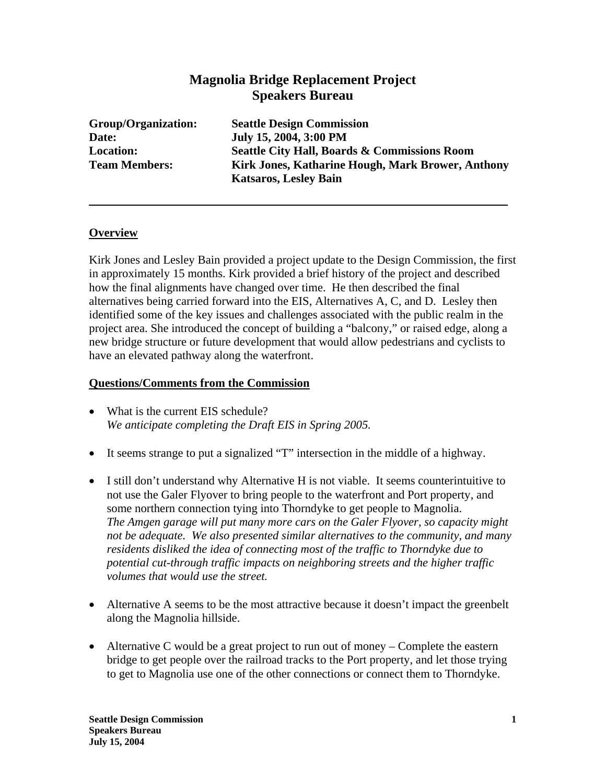## **Magnolia Bridge Replacement Project Speakers Bureau**

**Group/Organization: Seattle Design Commission Date: July 15, 2004, 3:00 PM Location: Seattle City Hall, Boards & Commissions Room Team Members: Kirk Jones, Katharine Hough, Mark Brower, Anthony Katsaros, Lesley Bain** 

## **Overview**

Kirk Jones and Lesley Bain provided a project update to the Design Commission, the first in approximately 15 months. Kirk provided a brief history of the project and described how the final alignments have changed over time. He then described the final alternatives being carried forward into the EIS, Alternatives A, C, and D. Lesley then identified some of the key issues and challenges associated with the public realm in the project area. She introduced the concept of building a "balcony," or raised edge, along a new bridge structure or future development that would allow pedestrians and cyclists to have an elevated pathway along the waterfront.

## **Questions/Comments from the Commission**

- What is the current EIS schedule? *We anticipate completing the Draft EIS in Spring 2005.*
- It seems strange to put a signalized "T" intersection in the middle of a highway.
- I still don't understand why Alternative H is not viable. It seems counterintuitive to not use the Galer Flyover to bring people to the waterfront and Port property, and some northern connection tying into Thorndyke to get people to Magnolia. *The Amgen garage will put many more cars on the Galer Flyover, so capacity might not be adequate. We also presented similar alternatives to the community, and many residents disliked the idea of connecting most of the traffic to Thorndyke due to potential cut-through traffic impacts on neighboring streets and the higher traffic volumes that would use the street.*
- Alternative A seems to be the most attractive because it doesn't impact the greenbelt along the Magnolia hillside.
- Alternative C would be a great project to run out of money Complete the eastern bridge to get people over the railroad tracks to the Port property, and let those trying to get to Magnolia use one of the other connections or connect them to Thorndyke.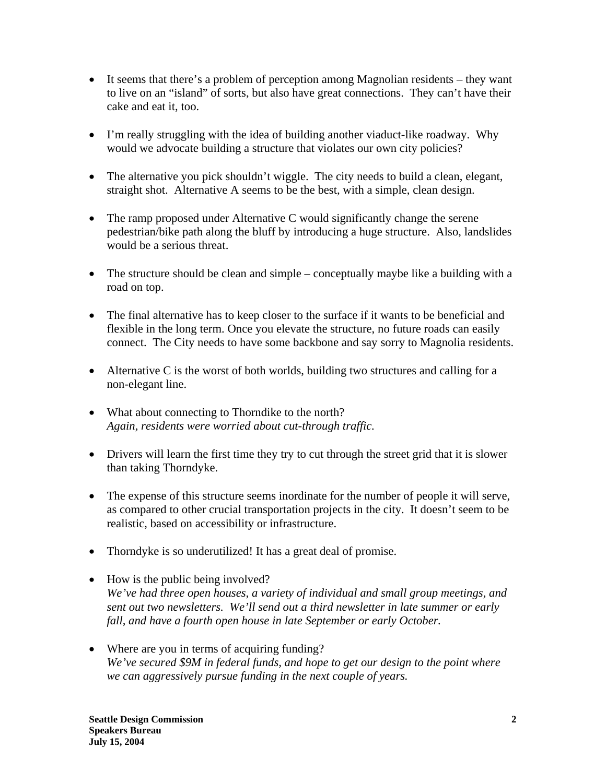- It seems that there's a problem of perception among Magnolian residents they want to live on an "island" of sorts, but also have great connections. They can't have their cake and eat it, too.
- I'm really struggling with the idea of building another viaduct-like roadway. Why would we advocate building a structure that violates our own city policies?
- The alternative you pick shouldn't wiggle. The city needs to build a clean, elegant, straight shot. Alternative A seems to be the best, with a simple, clean design.
- The ramp proposed under Alternative C would significantly change the serene pedestrian/bike path along the bluff by introducing a huge structure. Also, landslides would be a serious threat.
- The structure should be clean and simple conceptually maybe like a building with a road on top.
- The final alternative has to keep closer to the surface if it wants to be beneficial and flexible in the long term. Once you elevate the structure, no future roads can easily connect. The City needs to have some backbone and say sorry to Magnolia residents.
- Alternative C is the worst of both worlds, building two structures and calling for a non-elegant line.
- What about connecting to Thorndike to the north? *Again, residents were worried about cut-through traffic.*
- Drivers will learn the first time they try to cut through the street grid that it is slower than taking Thorndyke.
- The expense of this structure seems inordinate for the number of people it will serve, as compared to other crucial transportation projects in the city. It doesn't seem to be realistic, based on accessibility or infrastructure.
- Thorndyke is so underutilized! It has a great deal of promise.
- How is the public being involved? *We've had three open houses, a variety of individual and small group meetings, and sent out two newsletters. We'll send out a third newsletter in late summer or early fall, and have a fourth open house in late September or early October.*
- Where are you in terms of acquiring funding? *We've secured \$9M in federal funds, and hope to get our design to the point where we can aggressively pursue funding in the next couple of years.*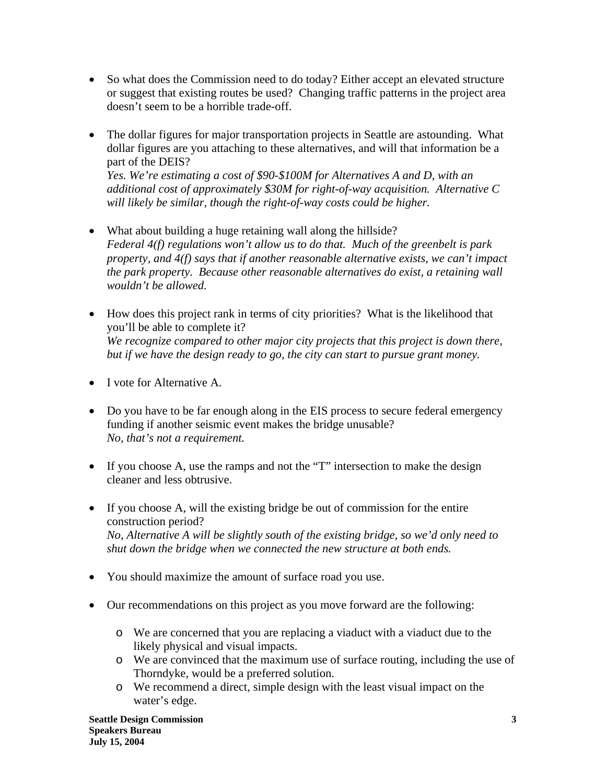- So what does the Commission need to do today? Either accept an elevated structure or suggest that existing routes be used? Changing traffic patterns in the project area doesn't seem to be a horrible trade-off.
- The dollar figures for major transportation projects in Seattle are astounding. What dollar figures are you attaching to these alternatives, and will that information be a part of the DEIS? *Yes. We're estimating a cost of \$90-\$100M for Alternatives A and D, with an*

*additional cost of approximately \$30M for right-of-way acquisition. Alternative C will likely be similar, though the right-of-way costs could be higher.*

- What about building a huge retaining wall along the hillside? *Federal 4(f) regulations won't allow us to do that. Much of the greenbelt is park property, and 4(f) says that if another reasonable alternative exists, we can't impact the park property. Because other reasonable alternatives do exist, a retaining wall wouldn't be allowed.*
- How does this project rank in terms of city priorities? What is the likelihood that you'll be able to complete it? *We recognize compared to other major city projects that this project is down there, but if we have the design ready to go, the city can start to pursue grant money.*
- I vote for Alternative A.
- Do you have to be far enough along in the EIS process to secure federal emergency funding if another seismic event makes the bridge unusable? *No, that's not a requirement.*
- If you choose A, use the ramps and not the "T" intersection to make the design cleaner and less obtrusive.
- If you choose A, will the existing bridge be out of commission for the entire construction period? *No, Alternative A will be slightly south of the existing bridge, so we'd only need to shut down the bridge when we connected the new structure at both ends.*
- You should maximize the amount of surface road you use.
- Our recommendations on this project as you move forward are the following:
	- o We are concerned that you are replacing a viaduct with a viaduct due to the likely physical and visual impacts.
	- o We are convinced that the maximum use of surface routing, including the use of Thorndyke, would be a preferred solution.
	- o We recommend a direct, simple design with the least visual impact on the water's edge.